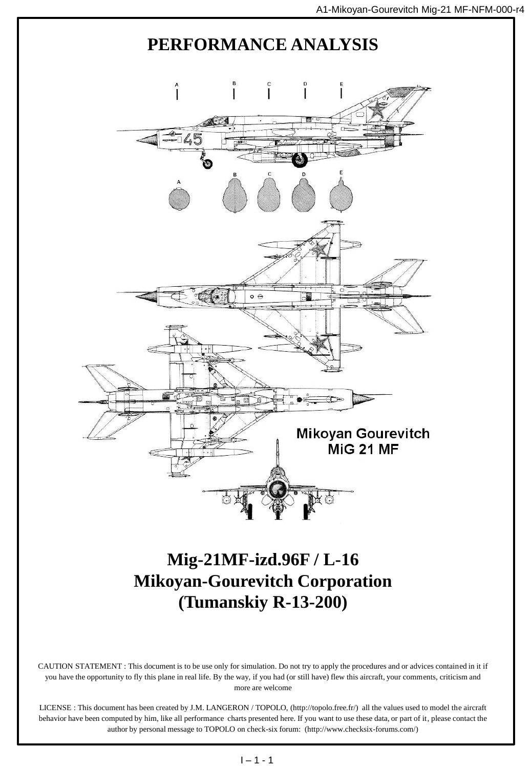

CAUTION STATEMENT : This document is to be use only for simulation. Do not try to apply the procedures and or advices contained in it if you have the opportunity to fly this plane in real life. By the way, if you had (or still have) flew this aircraft, your comments, criticism and more are welcome

LICENSE : This document has been created by J.M. LANGERON / TOPOLO, (http://topolo.free.fr/) all the values used to model the aircraft behavior have been computed by him, like all performance charts presented here. If you want to use these data, or part of it, please contact the author by personal message to TOPOLO on check-six forum: (http://www.checksix-forums.com/)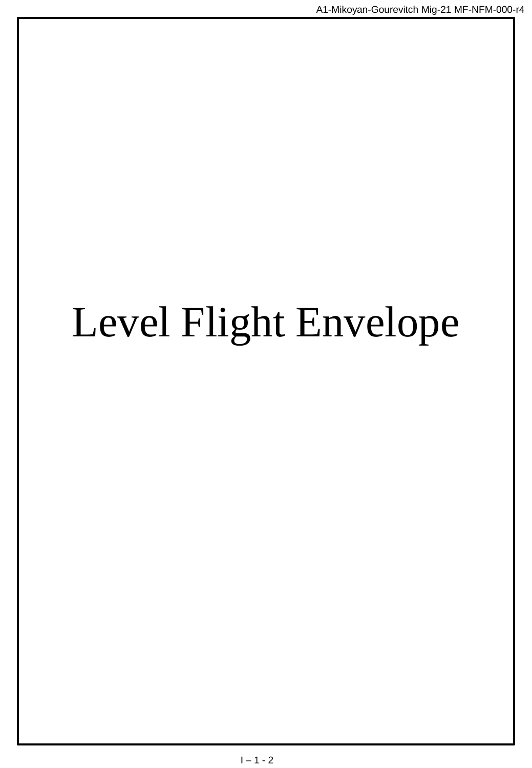# Level Flight Envelope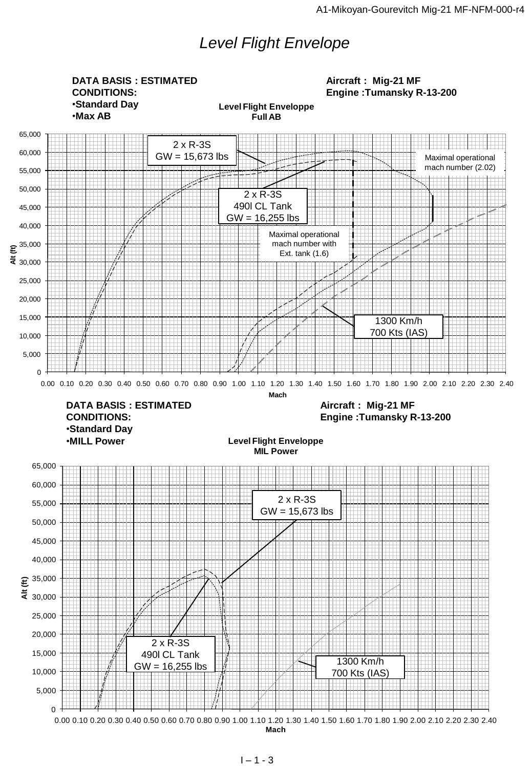## *Level Flight Envelope*

0 5,000 10,000 15,000 20,000 25,000 30,000  $\widehat{\Xi}^{35,000}$ 40,000 45,000 50,000 55,000 60,000 65,000 E 35,000<br>
25,000<br>
26,000<br>
20,000<br>
16,000<br>
5,000<br>
5,000<br>
5,000<br>
0 0.00 0.10 0.20 0.30 0.40 0.50 0.60 0.70 0.80 0.90 1.00 1.10 1.20 1.30 1.40 1.50 1.60 1.70 1.80 1.90 2.00 2.10 2.20 2.30 2.40<br>
0 0.00 0.10 0.20 0.30 0.40 0.5 **Mach Level Flight Enveloppe MIL Power**   $\Omega$ 5,000 10,000 15,000 20,000 25,000 30,000 35,000 40,000 45,000 50,000 55,000 60,000 65,000 Ext. tank (1.6)<br>
= 3.0.00<br>
20.000<br>
0.00 0.10 0.20 0.30 0.40 0.50 0.60 0.70 0.80 0.90 1.10 1.20 1.30 1.40 1.50 1.60 1.70 1.80 1.90 2.00 2.10 2.20 2.30 2.40<br>
0.00 0.10 0.20 0.30 0.40 0.50 0.60 0.70 0.80 0.90 1.00 1.10 1.20 **Mach Level Flight Enveloppe Full AB DATA BASIS : ESTIMATED CONDITIONS:** •**Standard Day** •**Max AB Aircraft : Mig-21 MF Engine :Tumansky R-13-200 DATA BASIS : ESTIMATED CONDITIONS:** •**Standard Day** •**MILL Power Aircraft : Mig-21 MF Engine :Tumansky R-13-200** 2 x R-3S GW = 15,673 lbs 2 x R-3S 490l CL Tank GW = 16,255 lbs 1300 Km/h 700 Kts (IAS) 2 x R-3S GW = 15,673 lbs 2 x R-3S 490l CL Tank GW = 16,255 lbs  $\frac{1}{2}$  1300 Km/h 700 Kts (IAS) Maximal operational mach number (2.02) Maximal operational mach number with Ext. tank (1.6)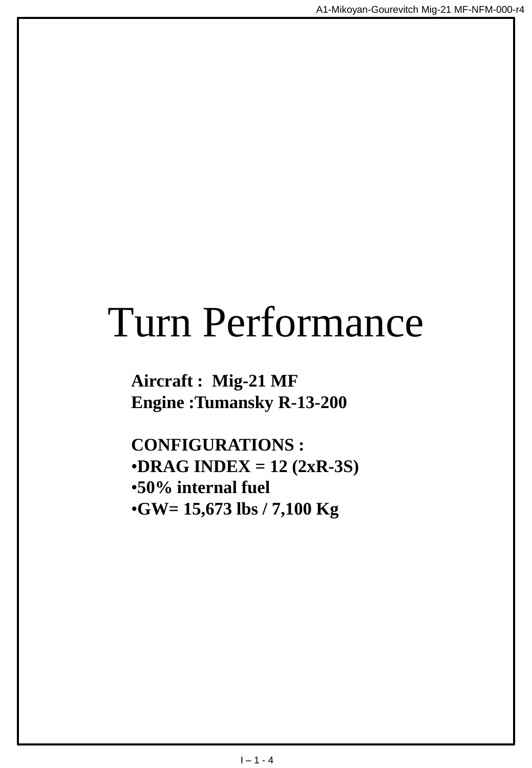## Turn Performance

**Aircraft : Mig-21 MF Engine :Tumansky R-13-200**

**CONFIGURATIONS :** •**DRAG INDEX = 12 (2xR-3S)** •**50% internal fuel** •**GW= 15,673 lbs / 7,100 Kg**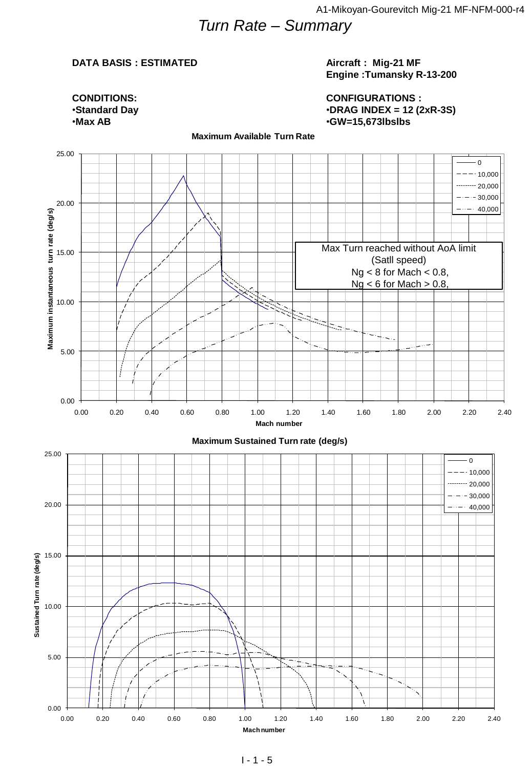## *Turn Rate – Summary*

#### **DATA BASIS : ESTIMATED**

#### **Aircraft : Mig-21 MF Engine :Tumansky R-13-200**

**CONFIGURATIONS :** •**DRAG INDEX = 12 (2xR-3S)** •**GW=15,673lbslbs**

**CONDITIONS:** •**Standard Day** •**Max AB**

**Maximum Available Turn Rate**

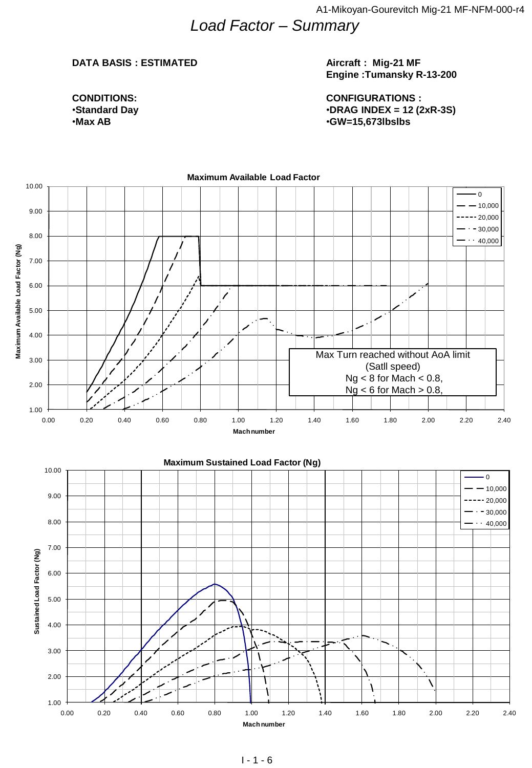### *Load Factor – Summary*

#### **DATA BASIS : ESTIMATED**

#### **Aircraft : Mig-21 MF Engine :Tumansky R-13-200**

**CONFIGURATIONS :** •**DRAG INDEX = 12 (2xR-3S)** •**GW=15,673lbslbs**

**CONDITIONS:** •**Standard Day** •**Max AB**

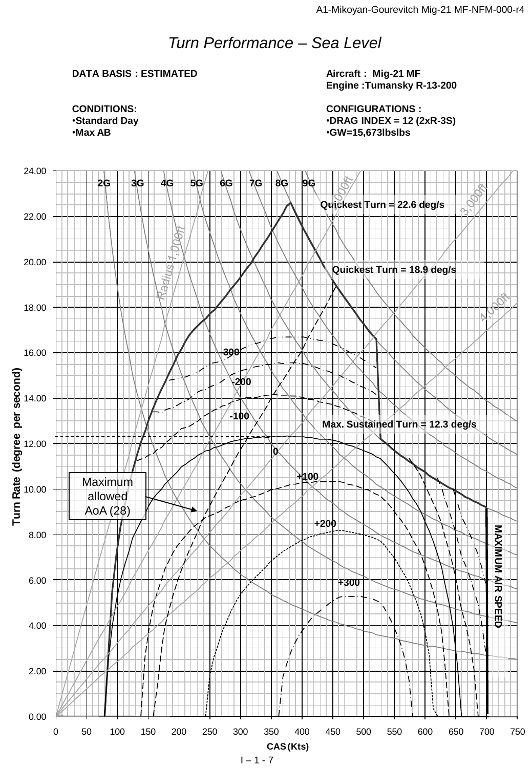## *Turn Performance – Sea Level*

#### **DATA BASIS : ESTIMATED**

**Aircraft : Mig-21 MF Engine :Tumansky R-13-200**

**CONFIGURATIONS :** •**DRAG INDEX = 12 (2xR-3S)** •**GW=15,673lbslbs**



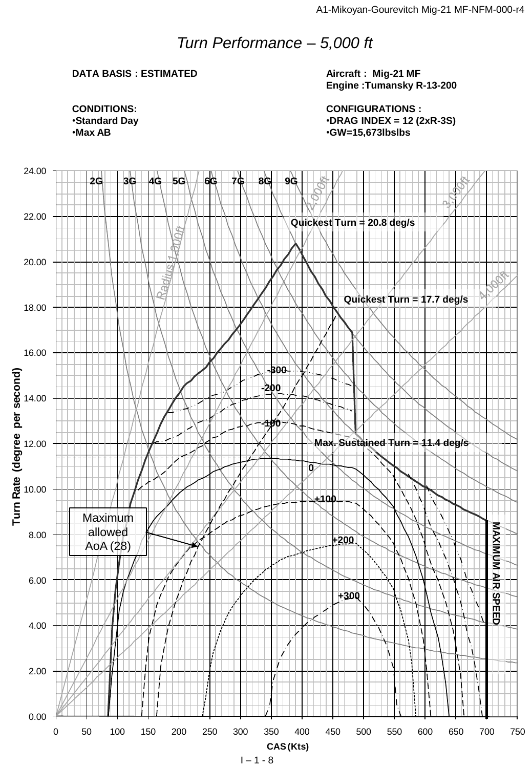## *Turn Performance – 5,000 ft*

#### **DATA BASIS : ESTIMATED**

**Aircraft : Mig-21 MF Engine :Tumansky R-13-200**

**CONFIGURATIONS :** •**DRAG INDEX = 12 (2xR-3S)** •**GW=15,673lbslbs**

**CONDITIONS:** •**Standard Day** •**Max AB**

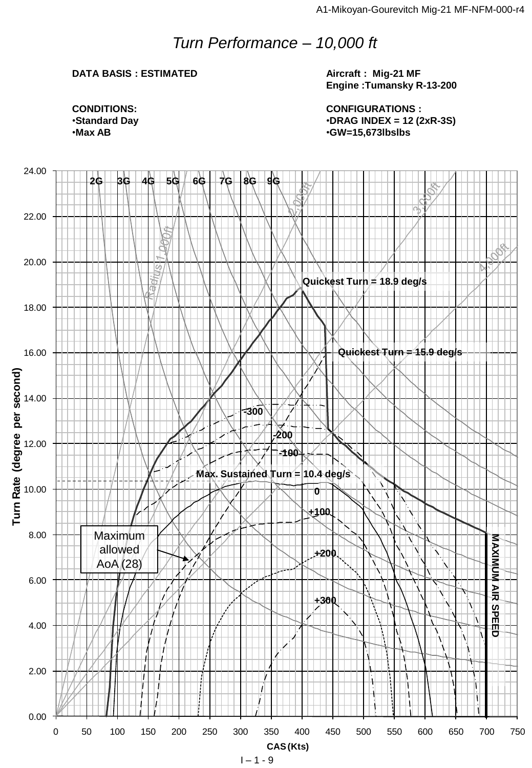## *Turn Performance – 10,000 ft*

#### **DATA BASIS : ESTIMATED**

**Aircraft : Mig-21 MF Engine :Tumansky R-13-200**

**CONFIGURATIONS :** •**DRAG INDEX = 12 (2xR-3S)** •**GW=15,673lbslbs**



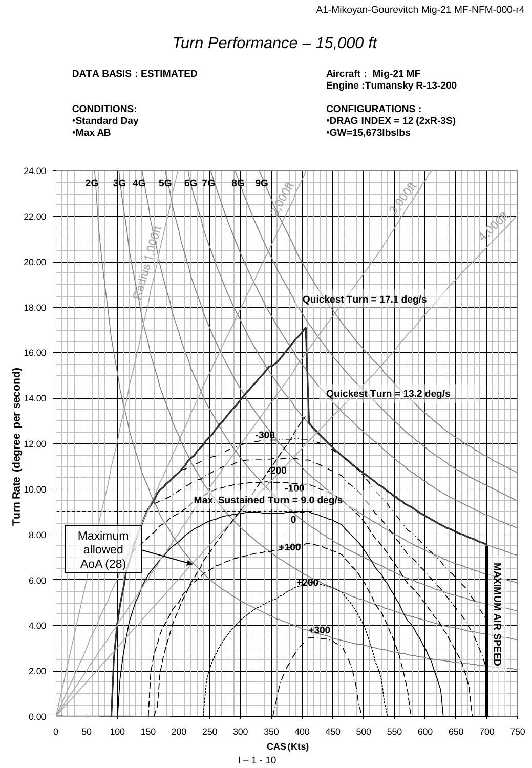## *Turn Performance – 15,000 ft*

#### **DATA BASIS : ESTIMATED**

**Aircraft : Mig-21 MF Engine :Tumansky R-13-200**

**CONFIGURATIONS :** •**DRAG INDEX = 12 (2xR-3S)** •**GW=15,673lbslbs**



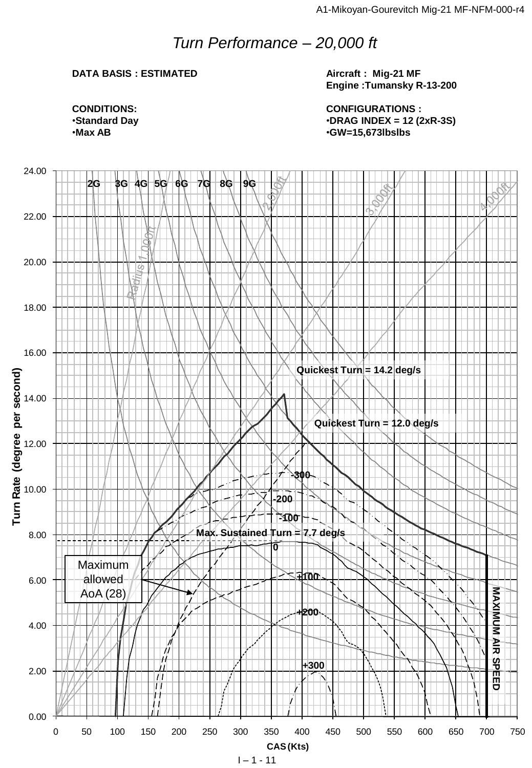## *Turn Performance – 20,000 ft*

#### **DATA BASIS : ESTIMATED**

**Aircraft : Mig-21 MF Engine :Tumansky R-13-200**

**CONFIGURATIONS :** •**DRAG INDEX = 12 (2xR-3S)** •**GW=15,673lbslbs**



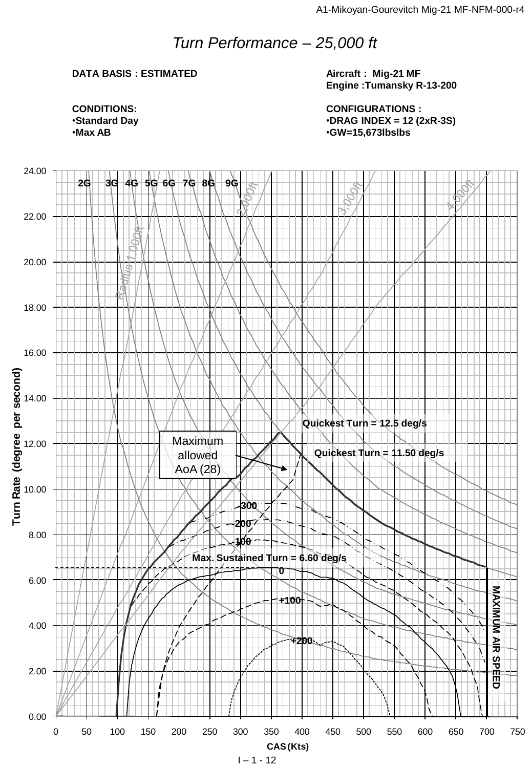## *Turn Performance – 25,000 ft*

#### **DATA BASIS : ESTIMATED**

**Aircraft : Mig-21 MF Engine :Tumansky R-13-200**

**CONFIGURATIONS :** •**DRAG INDEX = 12 (2xR-3S)** •**GW=15,673lbslbs**



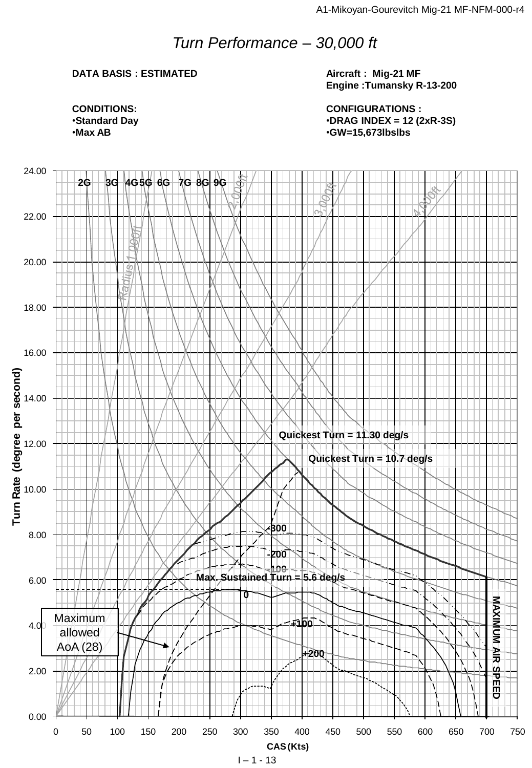## *Turn Performance – 30,000 ft*

#### **DATA BASIS : ESTIMATED**

**Aircraft : Mig-21 MF Engine :Tumansky R-13-200**

**CONFIGURATIONS :** •**DRAG INDEX = 12 (2xR-3S)** •**GW=15,673lbslbs**



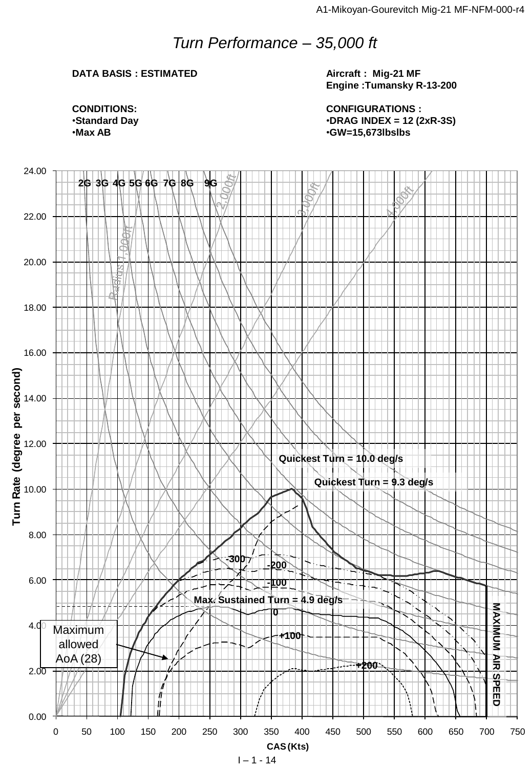## *Turn Performance – 35,000 ft*

#### **DATA BASIS : ESTIMATED**

**Aircraft : Mig-21 MF Engine :Tumansky R-13-200**

**CONFIGURATIONS :** •**DRAG INDEX = 12 (2xR-3S)** •**GW=15,673lbslbs**



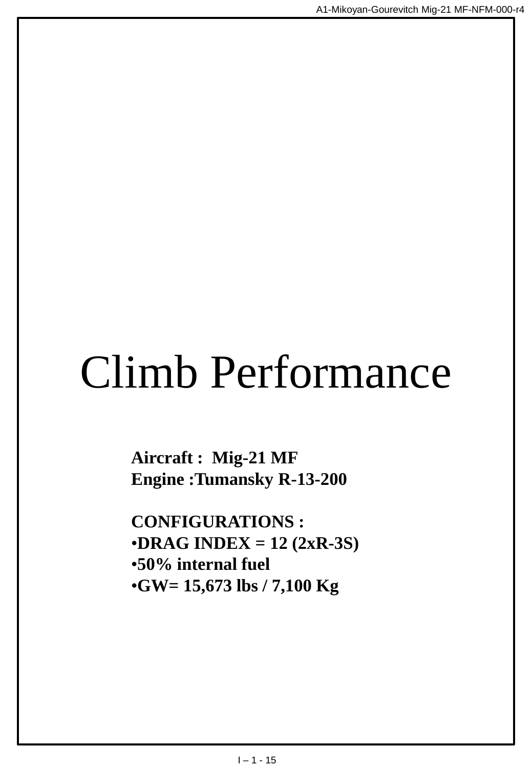# Climb Performance

**Aircraft : Mig-21 MF Engine :Tumansky R-13-200**

**CONFIGURATIONS :** •**DRAG INDEX = 12 (2xR-3S)** •**50% internal fuel** •**GW= 15,673 lbs / 7,100 Kg**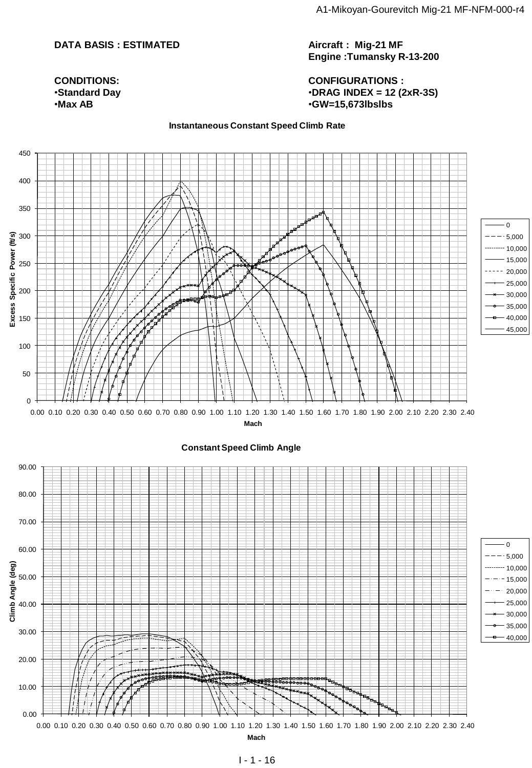#### **DATA BASIS : ESTIMATED**

**Aircraft : Mig-21 MF Engine :Tumansky R-13-200**

**CONFIGURATIONS :** •**DRAG INDEX = 12 (2xR-3S)** •**GW=15,673lbslbs**

#### **CONDITIONS:** •**Standard Day** •**Max AB**

#### **Instantaneous Constant Speed Climb Rate**

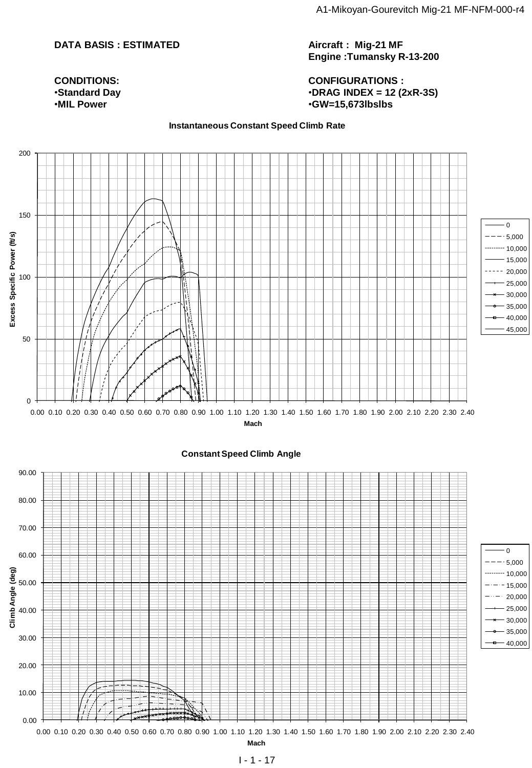#### **DATA BASIS : ESTIMATED**

**CONDITIONS:** •**Standard Day** •**MIL Power**

**Aircraft : Mig-21 MF Engine :Tumansky R-13-200**

**CONFIGURATIONS :** •**DRAG INDEX = 12 (2xR-3S)** •**GW=15,673lbslbs**

#### **Instantaneous Constant Speed Climb Rate**

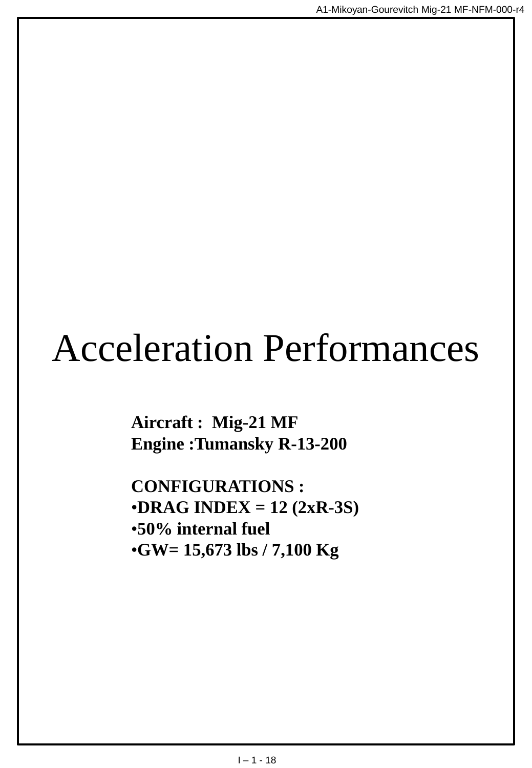## Acceleration Performances

**Aircraft : Mig-21 MF Engine :Tumansky R-13-200**

**CONFIGURATIONS :** •**DRAG INDEX = 12 (2xR-3S)** •**50% internal fuel** •**GW= 15,673 lbs / 7,100 Kg**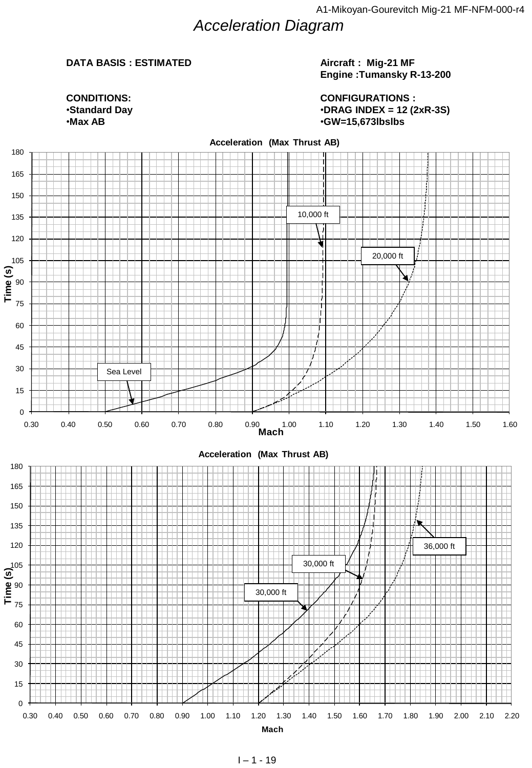## *Acceleration Diagram*

#### **DATA BASIS : ESTIMATED**

#### **Aircraft : Mig-21 MF Engine :Tumansky R-13-200**

0 10,000 20,000 •**Max AB CONDITIONS:** •**Standard Day**

**CONFIGURATIONS :** •**DRAG INDEX = 12 (2xR-3S)** •**GW=15,673lbslbs**



#### **Acceleration (Max Thrust AB)**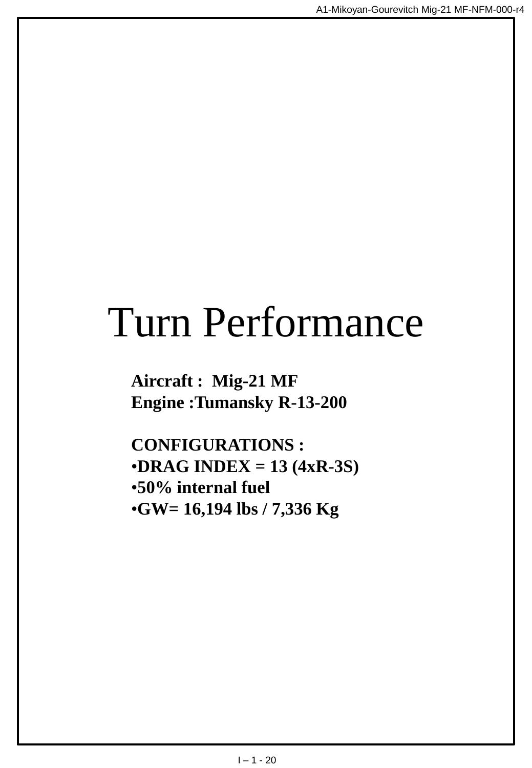## Turn Performance

**Aircraft : Mig-21 MF Engine :Tumansky R-13-200**

**CONFIGURATIONS :** •**DRAG INDEX = 13 (4xR-3S)** •**50% internal fuel** •**GW= 16,194 lbs / 7,336 Kg**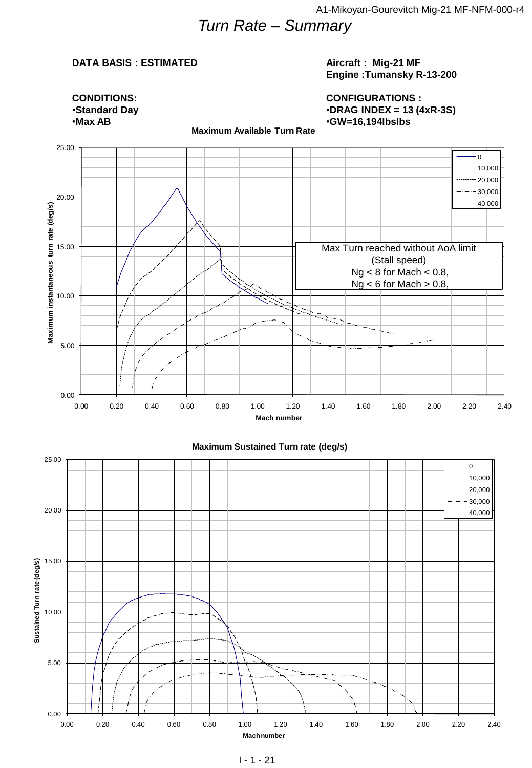## *Turn Rate – Summary*

#### **DATA BASIS : ESTIMATED**

#### **Aircraft : Mig-21 MF Engine :Tumansky R-13-200**

**CONFIGURATIONS :** •**DRAG INDEX = 13 (4xR-3S)** •**GW=16,194lbslbs**



**Maximum Available Turn Rate**

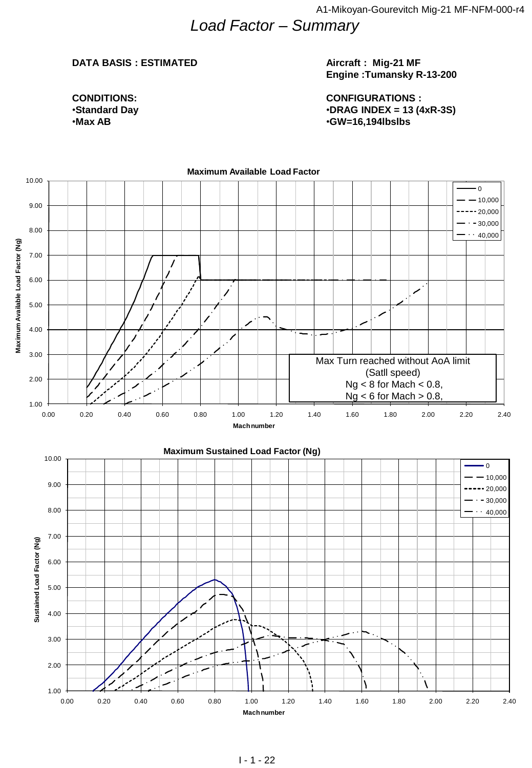## *Load Factor – Summary*

#### **DATA BASIS : ESTIMATED**

#### **Aircraft : Mig-21 MF Engine :Tumansky R-13-200**

**CONDITIONS:** •**Standard Day** •**Max AB**

**CONFIGURATIONS :** •**DRAG INDEX = 13 (4xR-3S)** •**GW=16,194lbslbs**

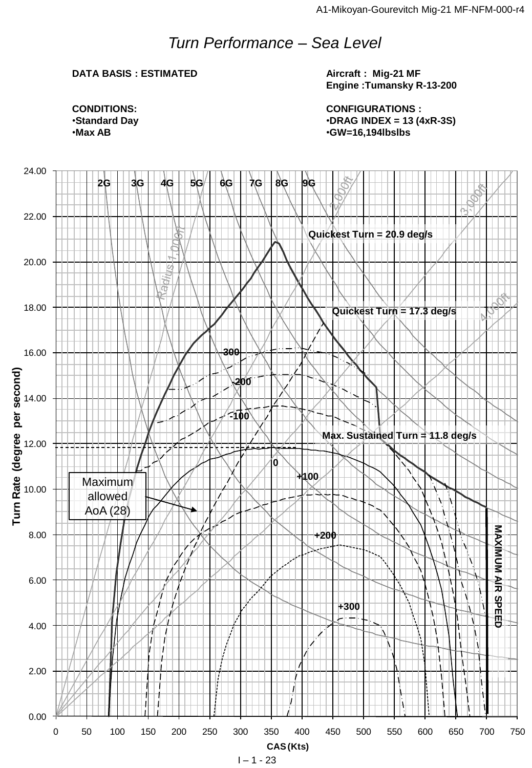## *Turn Performance – Sea Level*

#### **DATA BASIS : ESTIMATED**

**Aircraft : Mig-21 MF Engine :Tumansky R-13-200**

**CONFIGURATIONS :** •**DRAG INDEX = 13 (4xR-3S)** •**GW=16,194lbslbs**



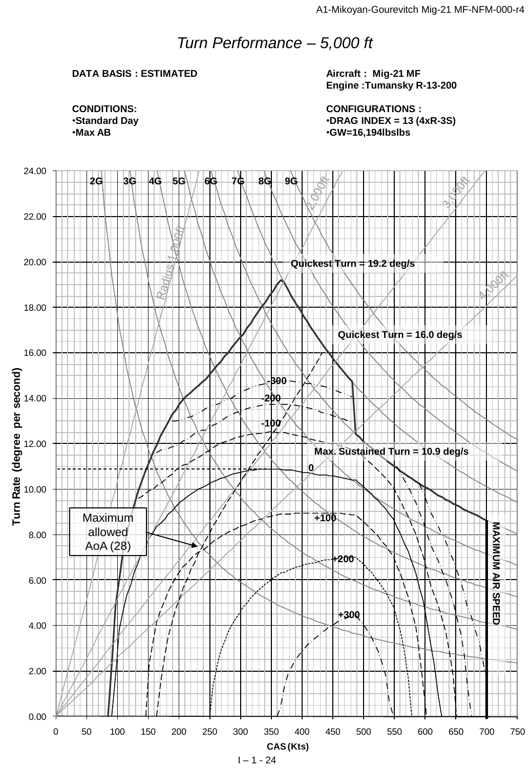## *Turn Performance – 5,000 ft*

#### **DATA BASIS : ESTIMATED**

**Aircraft : Mig-21 MF Engine :Tumansky R-13-200**

**CONFIGURATIONS :** •**DRAG INDEX = 13 (4xR-3S)** •**GW=16,194lbslbs**

**CONDITIONS:** •**Standard Day** •**Max AB**

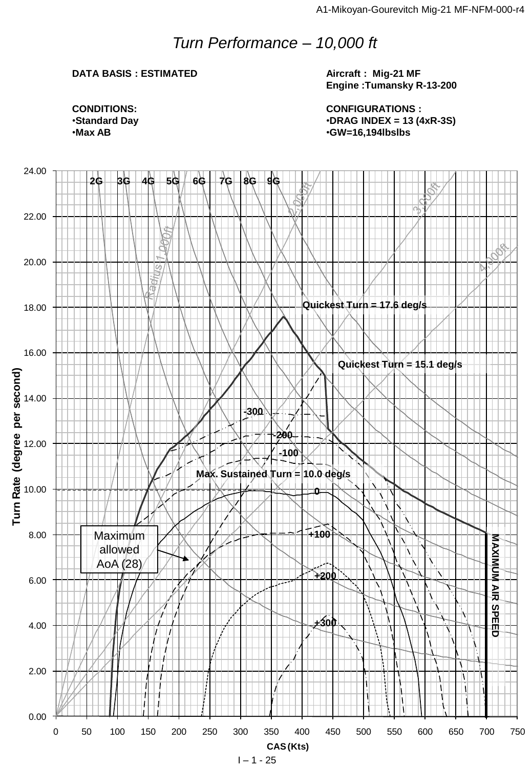## *Turn Performance – 10,000 ft*

#### **DATA BASIS : ESTIMATED**

**Aircraft : Mig-21 MF Engine :Tumansky R-13-200**

**CONFIGURATIONS :** •**DRAG INDEX = 13 (4xR-3S)** •**GW=16,194lbslbs**



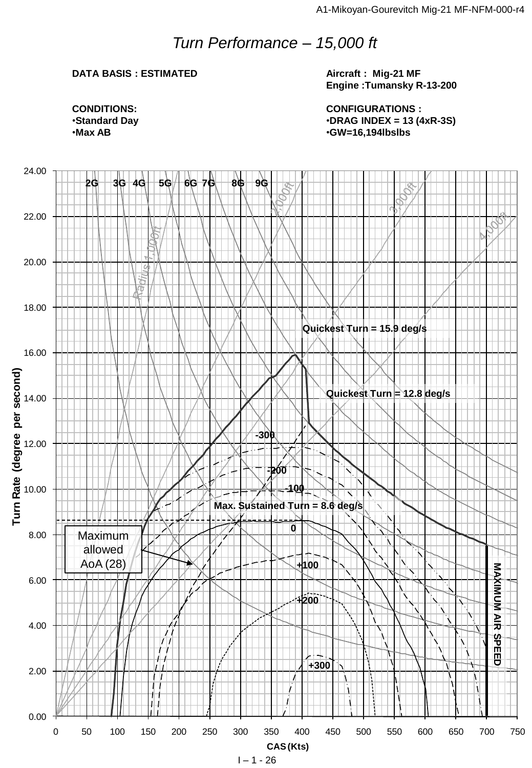## *Turn Performance – 15,000 ft*

#### **DATA BASIS : ESTIMATED**

**Aircraft : Mig-21 MF Engine :Tumansky R-13-200**

**CONFIGURATIONS :** •**DRAG INDEX = 13 (4xR-3S)** •**GW=16,194lbslbs**

**CONDITIONS:** •**Standard Day** •**Max AB**

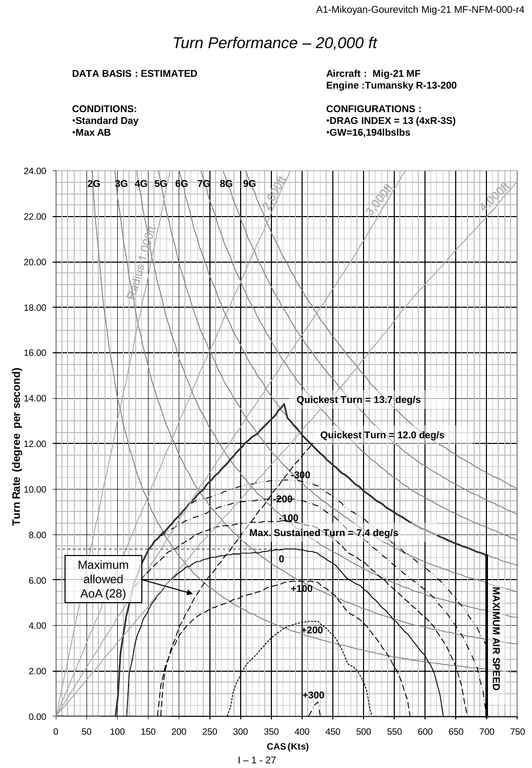## *Turn Performance – 20,000 ft*

#### **DATA BASIS : ESTIMATED**

**Aircraft : Mig-21 MF Engine :Tumansky R-13-200**

**CONFIGURATIONS :** •**DRAG INDEX = 13 (4xR-3S)** •**GW=16,194lbslbs**



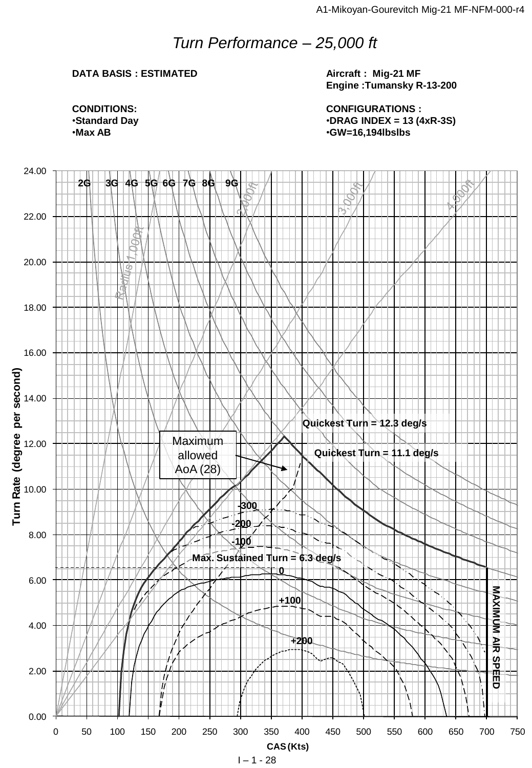## *Turn Performance – 25,000 ft*

#### **DATA BASIS : ESTIMATED**

**Aircraft : Mig-21 MF Engine :Tumansky R-13-200**

**CONFIGURATIONS :** •**DRAG INDEX = 13 (4xR-3S)** •**GW=16,194lbslbs**



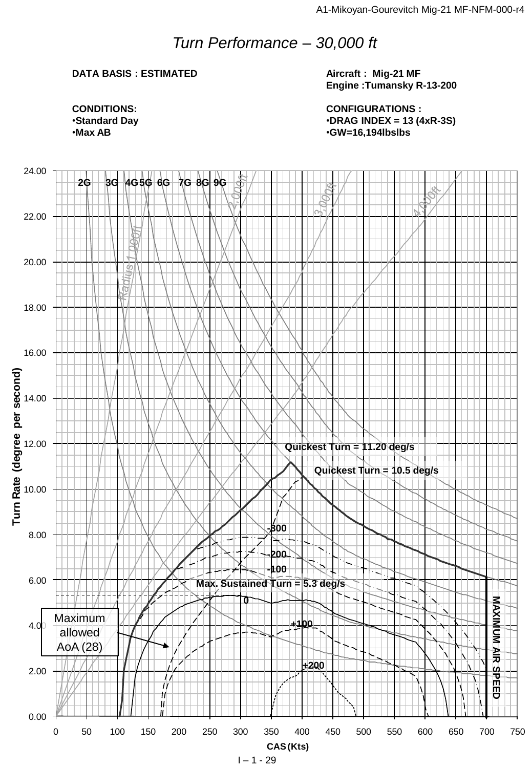## *Turn Performance – 30,000 ft*

#### **DATA BASIS : ESTIMATED**

**Aircraft : Mig-21 MF Engine :Tumansky R-13-200**

**CONFIGURATIONS :** •**DRAG INDEX = 13 (4xR-3S)** •**GW=16,194lbslbs**



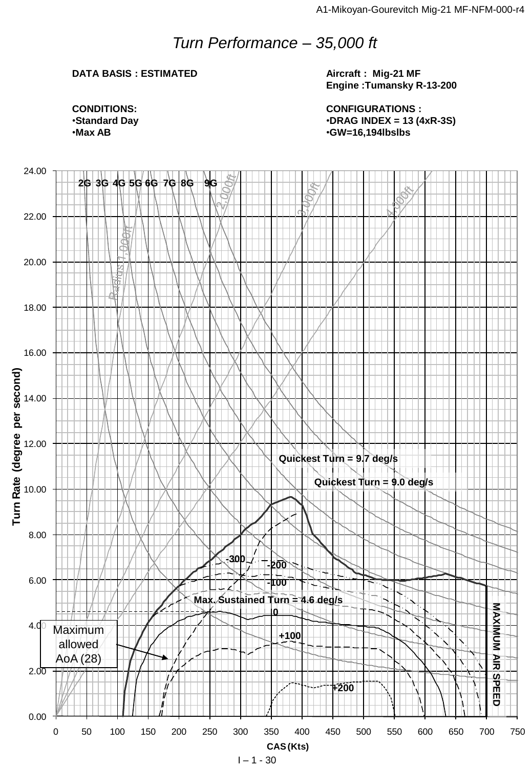## *Turn Performance – 35,000 ft*

#### **DATA BASIS : ESTIMATED**

**Aircraft : Mig-21 MF Engine :Tumansky R-13-200**

**CONFIGURATIONS :** •**DRAG INDEX = 13 (4xR-3S)** •**GW=16,194lbslbs**



**CONDITIONS:** •**Standard Day** •**Max AB**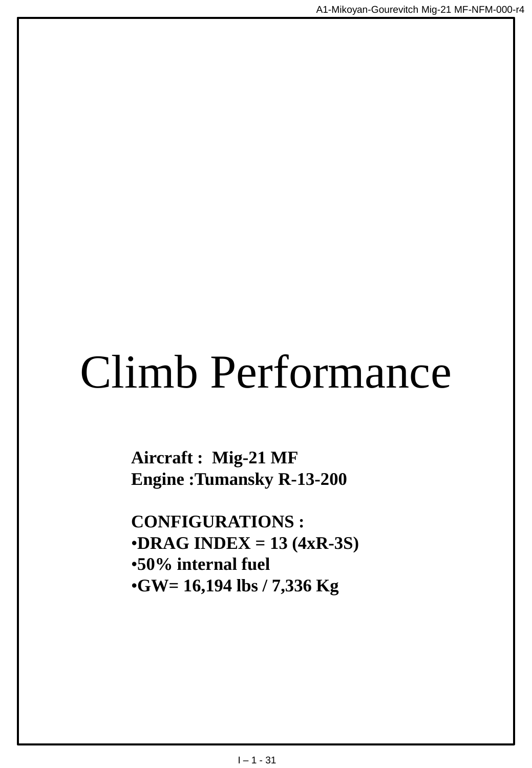# Climb Performance

**Aircraft : Mig-21 MF Engine :Tumansky R-13-200**

**CONFIGURATIONS :** •**DRAG INDEX = 13 (4xR-3S)** •**50% internal fuel** •**GW= 16,194 lbs / 7,336 Kg**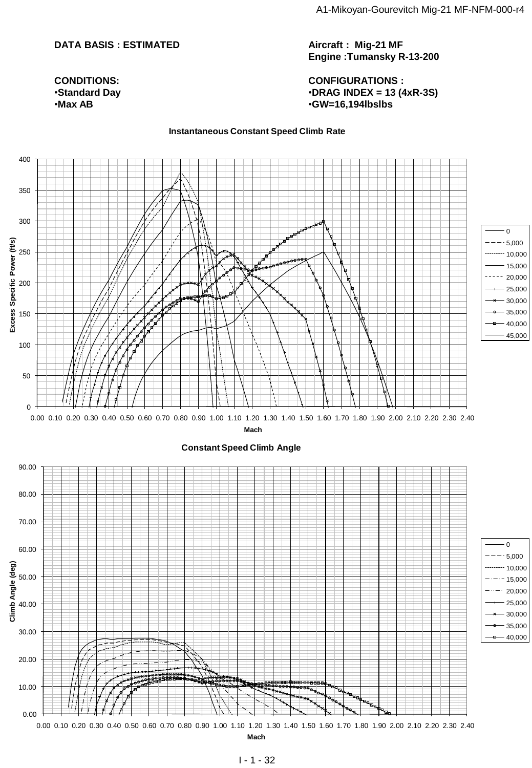#### **DATA BASIS : ESTIMATED**

**CONDITIONS:** •**Standard Day** •**Max AB**

**Aircraft : Mig-21 MF Engine :Tumansky R-13-200**

**CONFIGURATIONS :** •**DRAG INDEX = 13 (4xR-3S)** •**GW=16,194lbslbs**

#### **Instantaneous Constant Speed Climb Rate**

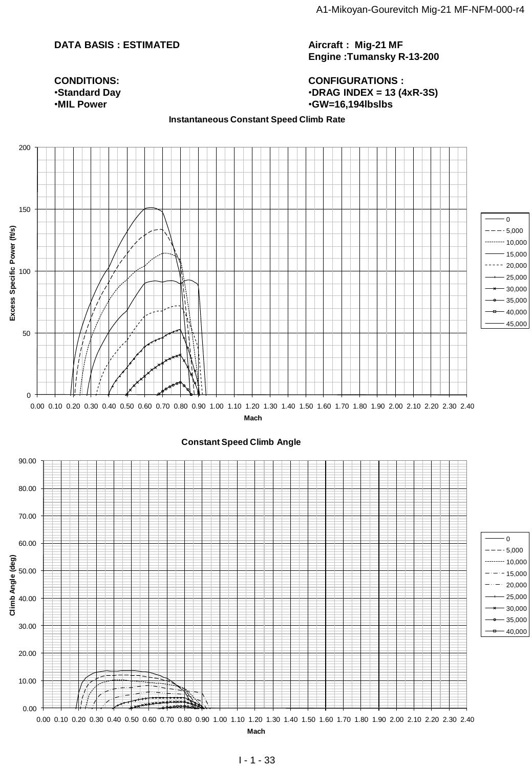#### **DATA BASIS : ESTIMATED**

**Aircraft : Mig-21 MF Engine :Tumansky R-13-200**

**CONFIGURATIONS :** •**DRAG INDEX = 13 (4xR-3S)** •**GW=16,194lbslbs**

#### **CONDITIONS:** •**Standard Day** •**MIL Power**

#### **Instantaneous Constant Speed Climb Rate**

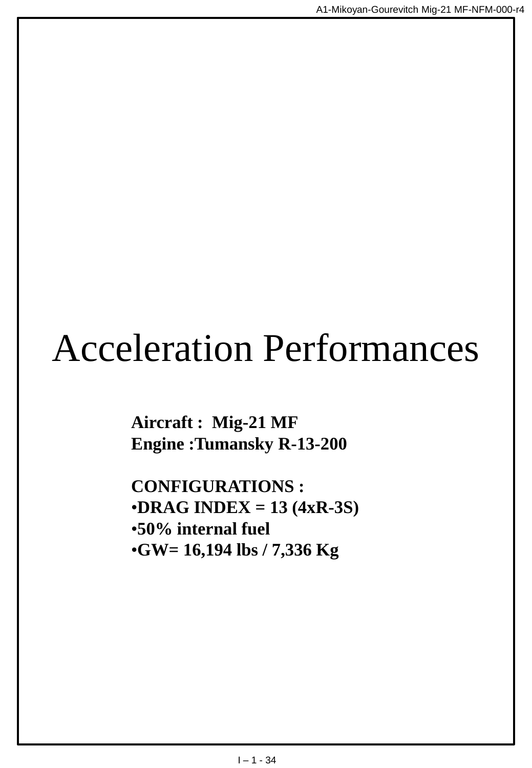## Acceleration Performances

**Aircraft : Mig-21 MF Engine :Tumansky R-13-200**

**CONFIGURATIONS :** •**DRAG INDEX = 13 (4xR-3S)** •**50% internal fuel** •**GW= 16,194 lbs / 7,336 Kg**